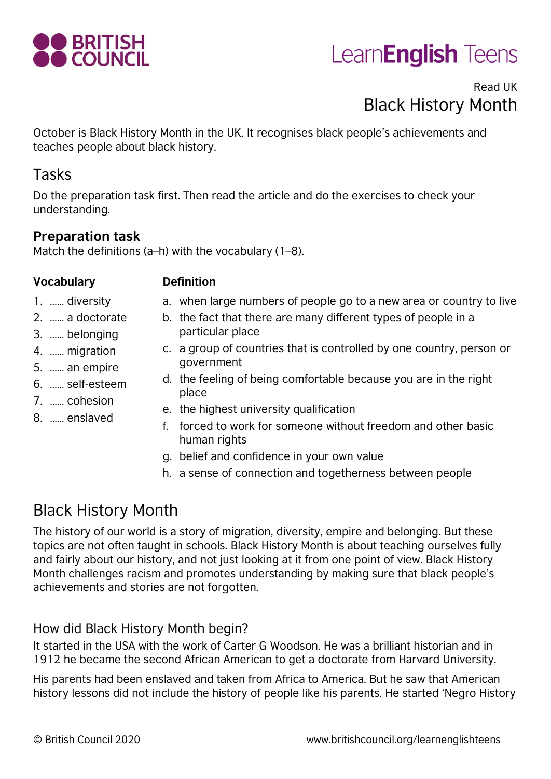

## Learn**English** Teens

#### Read UK Black History Month

October is Black History Month in the UK. It recognises black people's achievements and teaches people about black history.

#### Tasks

Do the preparation task first. Then read the article and do the exercises to check your understanding.

#### **Preparation task**

Match the definitions (a–h) with the vocabulary (1–8).

#### **Vocabulary Definition**

- 1. …… diversity
- 2. …… a doctorate
- 3. …… belonging
- 4. …… migration
- 5. …… an empire
- 6. …… self-esteem
- 7. …… cohesion
- 8. …… enslaved
- a. when large numbers of people go to a new area or country to live
- b. the fact that there are many different types of people in a particular place
- c. a group of countries that is controlled by one country, person or government
- d. the feeling of being comfortable because you are in the right place
- e. the highest university qualification
- f. forced to work for someone without freedom and other basic human rights
- g. belief and confidence in your own value
- h. a sense of connection and togetherness between people

### Black History Month

The history of our world is a story of migration, diversity, empire and belonging. But these topics are not often taught in schools. Black History Month is about teaching ourselves fully and fairly about our history, and not just looking at it from one point of view. Black History Month challenges racism and promotes understanding by making sure that black people's achievements and stories are not forgotten.

#### How did Black History Month begin?

It started in the USA with the work of Carter G Woodson. He was a brilliant historian and in 1912 he became the second African American to get a doctorate from Harvard University.

His parents had been enslaved and taken from Africa to America. But he saw that American history lessons did not include the history of people like his parents. He started 'Negro History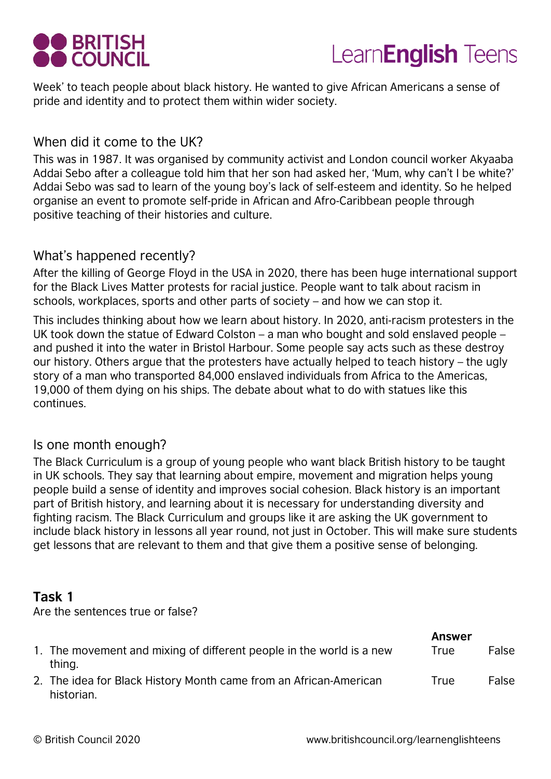



Week' to teach people about black history. He wanted to give African Americans a sense of pride and identity and to protect them within wider society.

#### When did it come to the UK?

This was in 1987. It was organised by community activist and London council worker Akyaaba Addai Sebo after a colleague told him that her son had asked her, 'Mum, why can't I be white?' Addai Sebo was sad to learn of the young boy's lack of self-esteem and identity. So he helped organise an event to promote self-pride in African and Afro-Caribbean people through positive teaching of their histories and culture.

#### What's happened recently?

After the killing of George Floyd in the USA in 2020, there has been huge international support for the Black Lives Matter protests for racial justice. People want to talk about racism in schools, workplaces, sports and other parts of society – and how we can stop it.

This includes thinking about how we learn about history. In 2020, anti-racism protesters in the UK took down the statue of Edward Colston – a man who bought and sold enslaved people – and pushed it into the water in Bristol Harbour. Some people say acts such as these destroy our history. Others argue that the protesters have actually helped to teach history – the ugly story of a man who transported 84,000 enslaved individuals from Africa to the Americas, 19,000 of them dying on his ships. The debate about what to do with statues like this continues.

#### Is one month enough?

The Black Curriculum is a group of young people who want black British history to be taught in UK schools. They say that learning about empire, movement and migration helps young people build a sense of identity and improves social cohesion. Black history is an important part of British history, and learning about it is necessary for understanding diversity and fighting racism. The Black Curriculum and groups like it are asking the UK government to include black history in lessons all year round, not just in October. This will make sure students get lessons that are relevant to them and that give them a positive sense of belonging.

#### **Task 1**

Are the sentences true or false?

|                                                                                 | <b>Answer</b> |       |
|---------------------------------------------------------------------------------|---------------|-------|
| 1. The movement and mixing of different people in the world is a new<br>thing.  | True          | False |
| 2. The idea for Black History Month came from an African-American<br>historian. | True          | False |